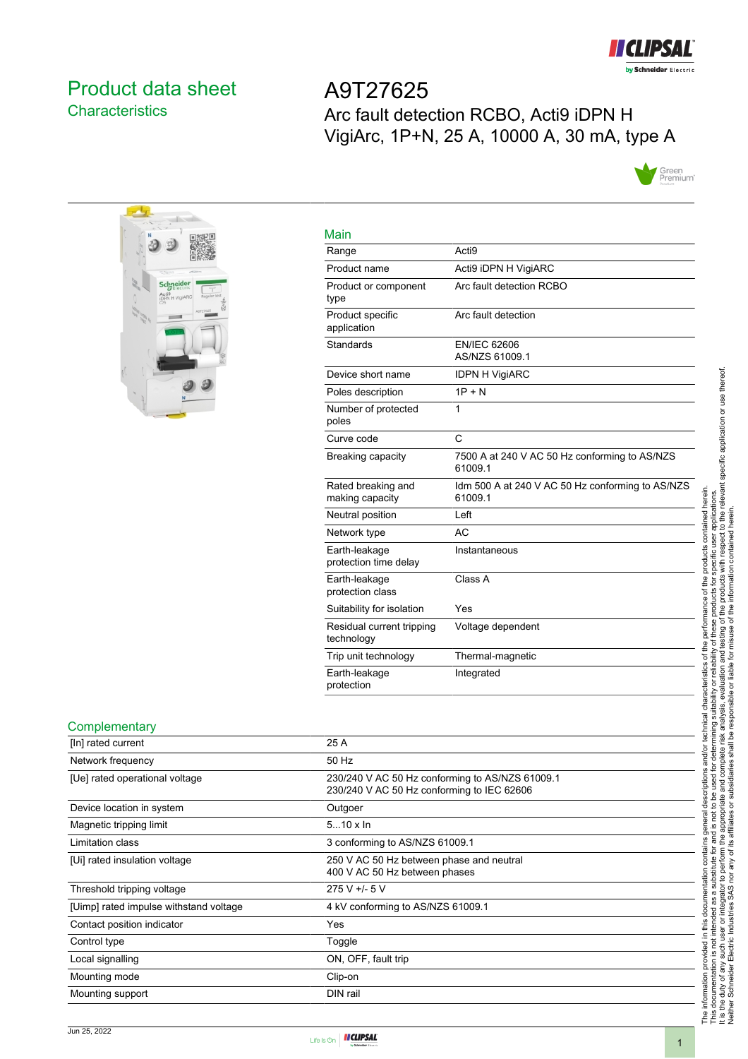

## <span id="page-0-0"></span>Product data sheet **Characteristics**

A9T27625 Arc fault detection RCBO, Acti9 iDPN H VigiArc, 1P+N, 25 A, 10000 A, 30 mA, type A





| iviain                                  |                                                             |
|-----------------------------------------|-------------------------------------------------------------|
| Range                                   | Acti <sub>9</sub>                                           |
| Product name                            | Acti9 iDPN H VigiARC                                        |
| Product or component<br>type            | Arc fault detection RCBO                                    |
| Product specific<br>application         | Arc fault detection                                         |
| Standards                               | <b>EN/IEC 62606</b><br>AS/NZS 61009.1                       |
| Device short name                       | <b>IDPN H VigiARC</b>                                       |
| Poles description                       | $1P + N$                                                    |
| Number of protected<br>poles            | 1                                                           |
| Curve code                              | C                                                           |
| Breaking capacity                       | 7500 A at 240 V AC 50 Hz conforming to AS/NZS<br>61009.1    |
| Rated breaking and<br>making capacity   | Idm 500 A at 240 V AC 50 Hz conforming to AS/NZS<br>61009.1 |
| Neutral position                        | Left                                                        |
| Network type                            | <b>AC</b>                                                   |
| Earth-leakage<br>protection time delay  | Instantaneous                                               |
| Earth-leakage<br>protection class       | Class A                                                     |
| Suitability for isolation               | Yes                                                         |
| Residual current tripping<br>technology | Voltage dependent                                           |
| Trip unit technology                    | Thermal-magnetic                                            |
| Earth-leakage<br>protection             | Integrated                                                  |

### **Complementary**

| [In] rated current                     | 25 A                                                                                          |
|----------------------------------------|-----------------------------------------------------------------------------------------------|
| Network frequency                      | 50 Hz                                                                                         |
| [Ue] rated operational voltage         | 230/240 V AC 50 Hz conforming to AS/NZS 61009.1<br>230/240 V AC 50 Hz conforming to IEC 62606 |
| Device location in system              | Outgoer                                                                                       |
| Magnetic tripping limit                | $510 \times \ln$                                                                              |
| Limitation class                       | 3 conforming to AS/NZS 61009.1                                                                |
| [Ui] rated insulation voltage          | 250 V AC 50 Hz between phase and neutral<br>400 V AC 50 Hz between phases                     |
| Threshold tripping voltage             | 275 V +/- 5 V                                                                                 |
| [Uimp] rated impulse withstand voltage | 4 kV conforming to AS/NZS 61009.1                                                             |
| Contact position indicator             | Yes                                                                                           |
| Control type                           | Toggle                                                                                        |
| Local signalling                       | ON, OFF, fault trip                                                                           |
| Mounting mode                          | Clip-on                                                                                       |
| Mounting support                       | DIN rail                                                                                      |



Main